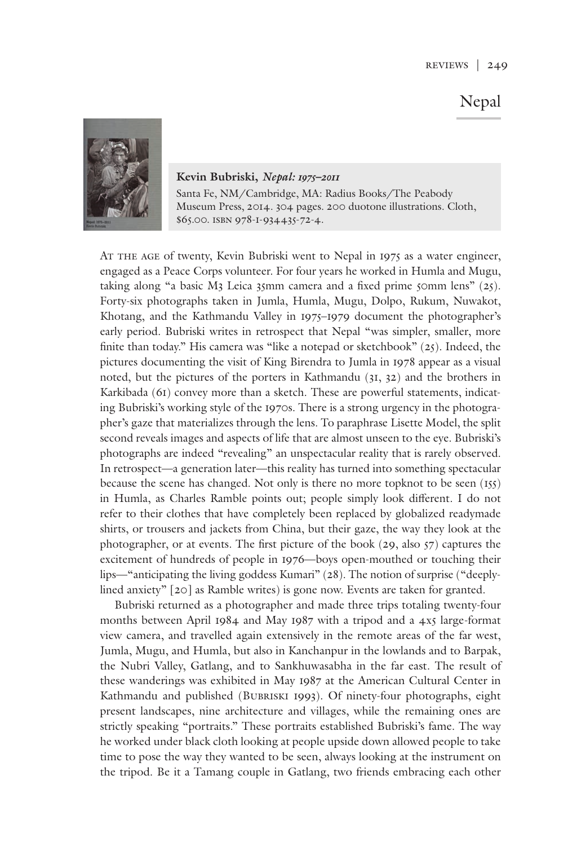## Nepal



**Kevin Bubriski,** *Nepal: 1975–2011* Santa Fe, NM/Cambridge, MA: Radius Books/The Peabody Museum Press, 2014. 304 pages. 200 duotone illustrations. Cloth, \$65.00. ISBN 978-I-934435-72-4.

AT THE AGE of twenty, Kevin Bubriski went to Nepal in 1975 as a water engineer, engaged as a Peace Corps volunteer. For four years he worked in Humla and Mugu, taking along "a basic M3 Leica 35mm camera and a fixed prime 50mm lens" (25). Forty-six photographs taken in Jumla, Humla, Mugu, Dolpo, Rukum, Nuwakot, Khotang, and the Kathmandu Valley in 1975–1979 document the photographer's early period. Bubriski writes in retrospect that Nepal "was simpler, smaller, more finite than today." His camera was "like a notepad or sketchbook" (25). Indeed, the pictures documenting the visit of King Birendra to Jumla in 1978 appear as a visual noted, but the pictures of the porters in Kathmandu (31, 32) and the brothers in Karkibada (61) convey more than a sketch. These are powerful statements, indicating Bubriski's working style of the 1970s. There is a strong urgency in the photographer's gaze that materializes through the lens. To paraphrase Lisette Model, the split second reveals images and aspects of life that are almost unseen to the eye. Bubriski's photographs are indeed "revealing" an unspectacular reality that is rarely observed. In retrospect—a generation later—this reality has turned into something spectacular because the scene has changed. Not only is there no more topknot to be seen (155) in Humla, as Charles Ramble points out; people simply look different. I do not refer to their clothes that have completely been replaced by globalized readymade shirts, or trousers and jackets from China, but their gaze, the way they look at the photographer, or at events. The first picture of the book (29, also 57) captures the excitement of hundreds of people in 1976—boys open-mouthed or touching their lips—"anticipating the living goddess Kumari" (28). The notion of surprise ("deeplylined anxiety" [20] as Ramble writes) is gone now. Events are taken for granted.

 Bubriski returned as a photographer and made three trips totaling twenty-four months between April 1984 and May 1987 with a tripod and a 4x5 large-format view camera, and travelled again extensively in the remote areas of the far west, Jumla, Mugu, and Humla, but also in Kanchanpur in the lowlands and to Barpak, the Nubri Valley, Gatlang, and to Sankhuwasabha in the far east. The result of these wanderings was exhibited in May 1987 at the American Cultural Center in Kathmandu and published (BUBRISKI 1993). Of ninety-four photographs, eight present landscapes, nine architecture and villages, while the remaining ones are strictly speaking "portraits." These portraits established Bubriski's fame. The way he worked under black cloth looking at people upside down allowed people to take time to pose the way they wanted to be seen, always looking at the instrument on the tripod. Be it a Tamang couple in Gatlang, two friends embracing each other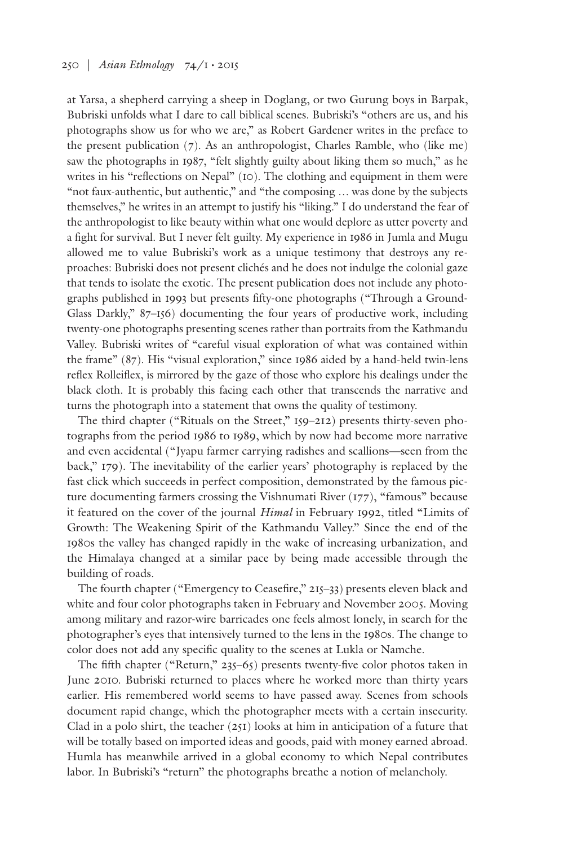at Yarsa, a shepherd carrying a sheep in Doglang, or two Gurung boys in Barpak, Bubriski unfolds what I dare to call biblical scenes. Bubriski's "others are us, and his photographs show us for who we are," as Robert Gardener writes in the preface to the present publication (7). As an anthropologist, Charles Ramble, who (like me) saw the photographs in 1987, "felt slightly guilty about liking them so much," as he writes in his "reflections on Nepal" (10). The clothing and equipment in them were "not faux-authentic, but authentic," and "the composing … was done by the subjects themselves," he writes in an attempt to justify his "liking." I do understand the fear of the anthropologist to like beauty within what one would deplore as utter poverty and a fight for survival. But I never felt guilty. My experience in 1986 in Jumla and Mugu allowed me to value Bubriski's work as a unique testimony that destroys any reproaches: Bubriski does not present clichés and he does not indulge the colonial gaze that tends to isolate the exotic. The present publication does not include any photographs published in 1993 but presents fifty-one photographs ("Through a Ground-Glass Darkly," 87–156) documenting the four years of productive work, including twenty-one photographs presenting scenes rather than portraits from the Kathmandu Valley. Bubriski writes of "careful visual exploration of what was contained within the frame" (87). His "visual exploration," since 1986 aided by a hand-held twin-lens reflex Rolleiflex, is mirrored by the gaze of those who explore his dealings under the black cloth. It is probably this facing each other that transcends the narrative and turns the photograph into a statement that owns the quality of testimony.

The third chapter ("Rituals on the Street," 159–212) presents thirty-seven photographs from the period 1986 to 1989, which by now had become more narrative and even accidental ("Jyapu farmer carrying radishes and scallions—seen from the back," 179). The inevitability of the earlier years' photography is replaced by the fast click which succeeds in perfect composition, demonstrated by the famous picture documenting farmers crossing the Vishnumati River (177), "famous" because it featured on the cover of the journal *Himal* in February 1992, titled "Limits of Growth: The Weakening Spirit of the Kathmandu Valley." Since the end of the 1980s the valley has changed rapidly in the wake of increasing urbanization, and the Himalaya changed at a similar pace by being made accessible through the building of roads.

The fourth chapter ("Emergency to Ceasefire," 215–33) presents eleven black and white and four color photographs taken in February and November 2005. Moving among military and razor-wire barricades one feels almost lonely, in search for the photographer's eyes that intensively turned to the lens in the 1980s. The change to color does not add any specific quality to the scenes at Lukla or Namche.

The fifth chapter ("Return," 235–65) presents twenty-five color photos taken in June 2010. Bubriski returned to places where he worked more than thirty years earlier. His remembered world seems to have passed away. Scenes from schools document rapid change, which the photographer meets with a certain insecurity. Clad in a polo shirt, the teacher (251) looks at him in anticipation of a future that will be totally based on imported ideas and goods, paid with money earned abroad. Humla has meanwhile arrived in a global economy to which Nepal contributes labor. In Bubriski's "return" the photographs breathe a notion of melancholy.